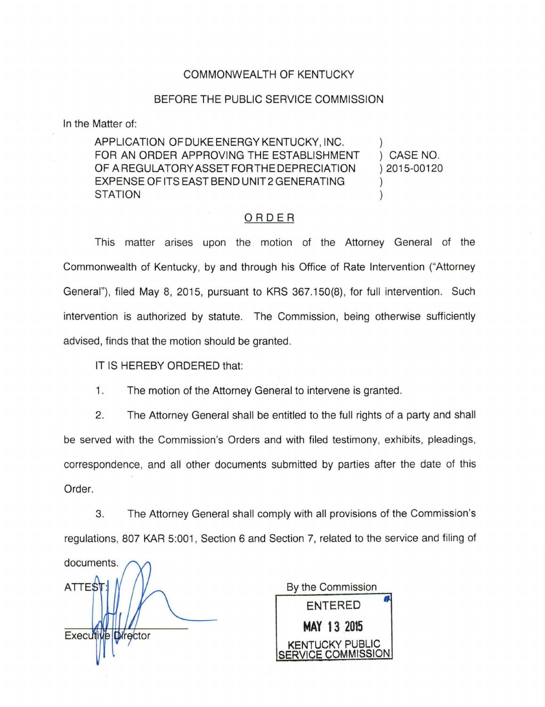## COMMONWEALTH OF KENTUCKY

## BEFORE THE PUBLIC SERVICE COMMISSION

In the Matter of:

APPLICATION OFDUKEENERGYKENTUCKY, INC. FOR AN ORDER APPROVING THE ESTABLISHMENT OF A REGULATORY ASSET FOR THE DEPRECIATION EXPENSE OF ITS EAST BEND UNIT2 GENERATING **STATION** ) ) CASE NO. ) 2015-00120 ) )

## ORDER

This matter arises upon the motion of the Attorney General of the Commonwealth of Kentucky, by and through his Office of Rate Intervention ("Attorney General"), filed May 8, 2015, pursuant to KRS 367.150(8), for full intervention. Such intervention is authorized by statute. The Commission, being otherwise sufficiently advised, finds that the motion should be granted.

IT IS HEREBY ORDERED that:

1. The motion of the Attorney General to intervene is granted.

2. The Attorney General shall be entitled to the full rights of a party and shall be served with the Commission's Orders and with filed testimony, exhibits, pleadings, correspondence, and all other documents submitted by parties after the date of this Order.

3. The Attorney General shall comply with all provisions of the Commission's regulations, 807 KAR 5:001, Section 6 and Section 7, related to the service and filing of

documents. **ATTEST** Executive Director

By the Commission ENTERED **MAY 13 2015**  KENTUCKY PUBLIC SERVICE COMMISSION